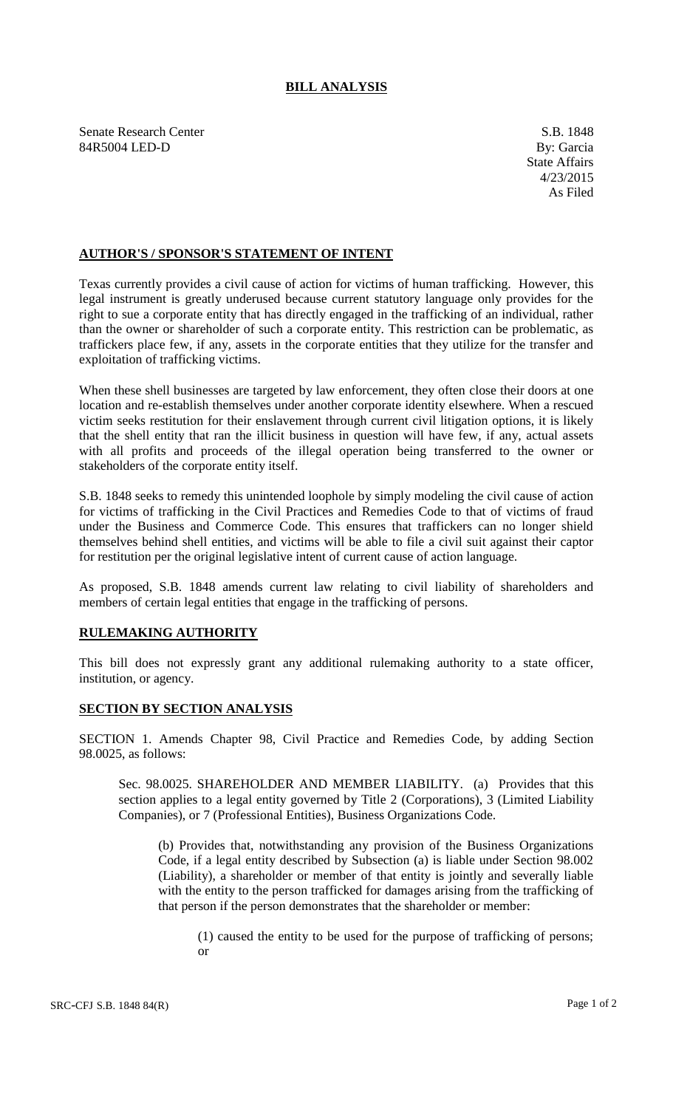## **BILL ANALYSIS**

Senate Research Center S.B. 1848 84R5004 LED-D By: Garcia

## **AUTHOR'S / SPONSOR'S STATEMENT OF INTENT**

Texas currently provides a civil cause of action for victims of human trafficking. However, this legal instrument is greatly underused because current statutory language only provides for the right to sue a corporate entity that has directly engaged in the trafficking of an individual, rather than the owner or shareholder of such a corporate entity. This restriction can be problematic, as traffickers place few, if any, assets in the corporate entities that they utilize for the transfer and exploitation of trafficking victims.

When these shell businesses are targeted by law enforcement, they often close their doors at one location and re-establish themselves under another corporate identity elsewhere. When a rescued victim seeks restitution for their enslavement through current civil litigation options, it is likely that the shell entity that ran the illicit business in question will have few, if any, actual assets with all profits and proceeds of the illegal operation being transferred to the owner or stakeholders of the corporate entity itself.

S.B. 1848 seeks to remedy this unintended loophole by simply modeling the civil cause of action for victims of trafficking in the Civil Practices and Remedies Code to that of victims of fraud under the Business and Commerce Code. This ensures that traffickers can no longer shield themselves behind shell entities, and victims will be able to file a civil suit against their captor for restitution per the original legislative intent of current cause of action language.

As proposed, S.B. 1848 amends current law relating to civil liability of shareholders and members of certain legal entities that engage in the trafficking of persons.

## **RULEMAKING AUTHORITY**

This bill does not expressly grant any additional rulemaking authority to a state officer, institution, or agency.

## **SECTION BY SECTION ANALYSIS**

SECTION 1. Amends Chapter 98, Civil Practice and Remedies Code, by adding Section 98.0025, as follows:

Sec. 98.0025. SHAREHOLDER AND MEMBER LIABILITY. (a) Provides that this section applies to a legal entity governed by Title 2 (Corporations), 3 (Limited Liability Companies), or 7 (Professional Entities), Business Organizations Code.

(b) Provides that, notwithstanding any provision of the Business Organizations Code, if a legal entity described by Subsection (a) is liable under Section 98.002 (Liability), a shareholder or member of that entity is jointly and severally liable with the entity to the person trafficked for damages arising from the trafficking of that person if the person demonstrates that the shareholder or member:

(1) caused the entity to be used for the purpose of trafficking of persons; or